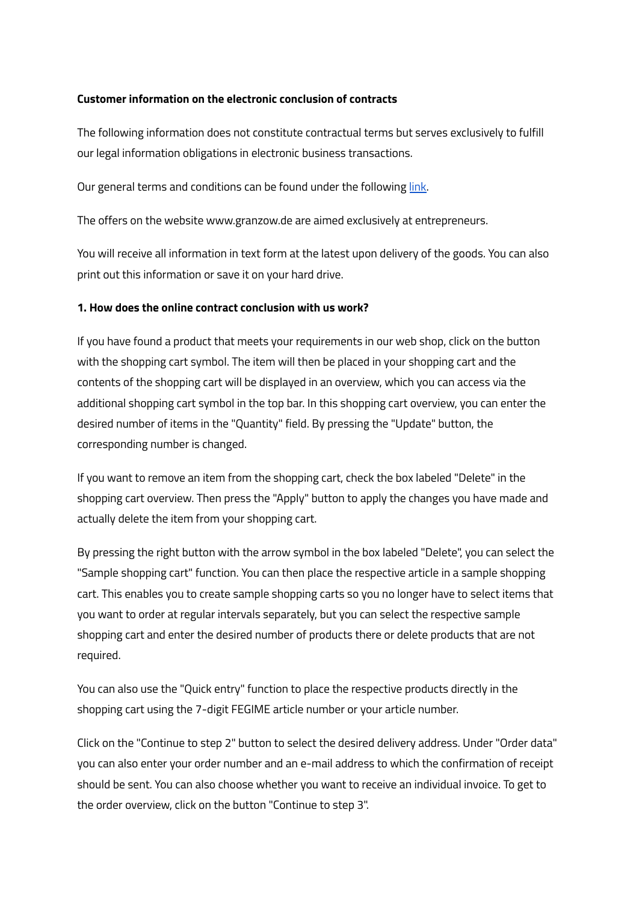### **Customer information on the electronic conclusion of contracts**

The following information does not constitute contractual terms but serves exclusively to fulfill our legal information obligations in electronic business transactions.

Our general terms and conditions can be found under the following [link.](https://photovoltaik.granzow.de/wp-content/uploads/2022/04/Lieferbedingungen_2018_englisch.pdf)

The offers on the website www.granzow.de are aimed exclusively at entrepreneurs.

You will receive all information in text form at the latest upon delivery of the goods. You can also print out this information or save it on your hard drive.

## **1. How does the online contract conclusion with us work?**

If you have found a product that meets your requirements in our web shop, click on the button with the shopping cart symbol. The item will then be placed in your shopping cart and the contents of the shopping cart will be displayed in an overview, which you can access via the additional shopping cart symbol in the top bar. In this shopping cart overview, you can enter the desired number of items in the "Quantity" field. By pressing the "Update" button, the corresponding number is changed.

If you want to remove an item from the shopping cart, check the box labeled "Delete" in the shopping cart overview. Then press the "Apply" button to apply the changes you have made and actually delete the item from your shopping cart.

By pressing the right button with the arrow symbol in the box labeled "Delete", you can select the "Sample shopping cart" function. You can then place the respective article in a sample shopping cart. This enables you to create sample shopping carts so you no longer have to select items that you want to order at regular intervals separately, but you can select the respective sample shopping cart and enter the desired number of products there or delete products that are not required.

You can also use the "Quick entry" function to place the respective products directly in the shopping cart using the 7-digit FEGIME article number or your article number.

Click on the "Continue to step 2" button to select the desired delivery address. Under "Order data" you can also enter your order number and an e-mail address to which the confirmation of receipt should be sent. You can also choose whether you want to receive an individual invoice. To get to the order overview, click on the button "Continue to step 3".